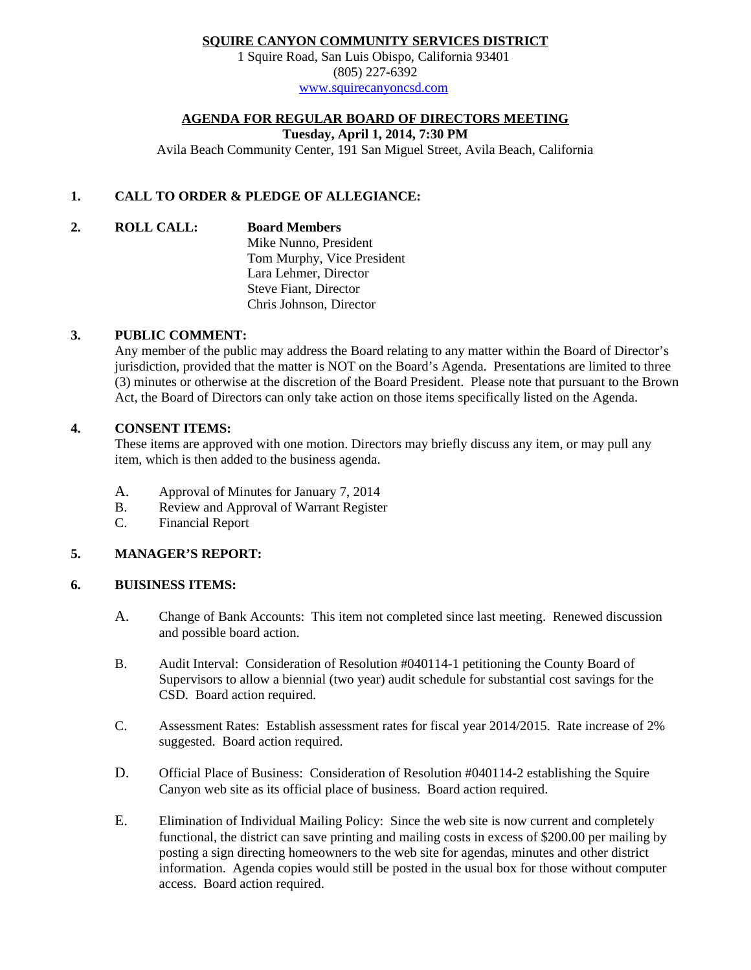## **SQUIRE CANYON COMMUNITY SERVICES DISTRICT**

1 Squire Road, San Luis Obispo, California 93401 (805) 227-6392 [www.squirecanyoncsd.com](http://www.squirecanyoncsd.com/)

### **AGENDA FOR REGULAR BOARD OF DIRECTORS MEETING**

**Tuesday, April 1, 2014, 7:30 PM**

Avila Beach Community Center, 191 San Miguel Street, Avila Beach, California

## **1. CALL TO ORDER & PLEDGE OF ALLEGIANCE:**

**2. ROLL CALL: Board Members**

Mike Nunno, President Tom Murphy, Vice President Lara Lehmer, Director Steve Fiant, Director Chris Johnson, Director

#### **3. PUBLIC COMMENT:**

Any member of the public may address the Board relating to any matter within the Board of Director's jurisdiction, provided that the matter is NOT on the Board's Agenda. Presentations are limited to three (3) minutes or otherwise at the discretion of the Board President. Please note that pursuant to the Brown Act, the Board of Directors can only take action on those items specifically listed on the Agenda.

### **4. CONSENT ITEMS:**

These items are approved with one motion. Directors may briefly discuss any item, or may pull any item, which is then added to the business agenda.

- A. Approval of Minutes for January 7, 2014
- B. Review and Approval of Warrant Register
- C. Financial Report

### **5. MANAGER'S REPORT:**

#### **6. BUISINESS ITEMS:**

- A. Change of Bank Accounts: This item not completed since last meeting. Renewed discussion and possible board action.
- B. Audit Interval: Consideration of Resolution #040114-1 petitioning the County Board of Supervisors to allow a biennial (two year) audit schedule for substantial cost savings for the CSD. Board action required.
- C. Assessment Rates: Establish assessment rates for fiscal year 2014/2015. Rate increase of 2% suggested. Board action required.
- D. Official Place of Business: Consideration of Resolution #040114-2 establishing the Squire Canyon web site as its official place of business. Board action required.
- E. Elimination of Individual Mailing Policy: Since the web site is now current and completely functional, the district can save printing and mailing costs in excess of \$200.00 per mailing by posting a sign directing homeowners to the web site for agendas, minutes and other district information. Agenda copies would still be posted in the usual box for those without computer access. Board action required.